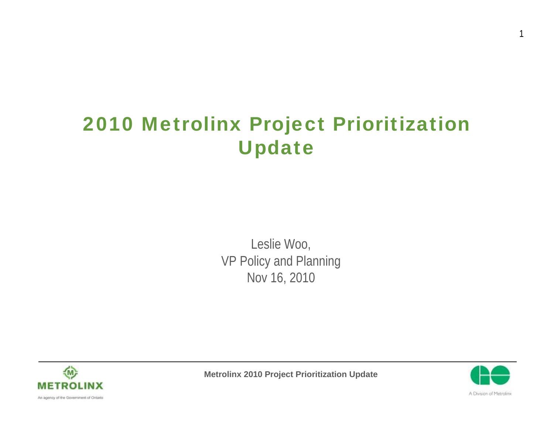#### 2010 Metrolinx Project Prioritization Update

Leslie Woo, VP Policy and Planning Nov 16, 2010







1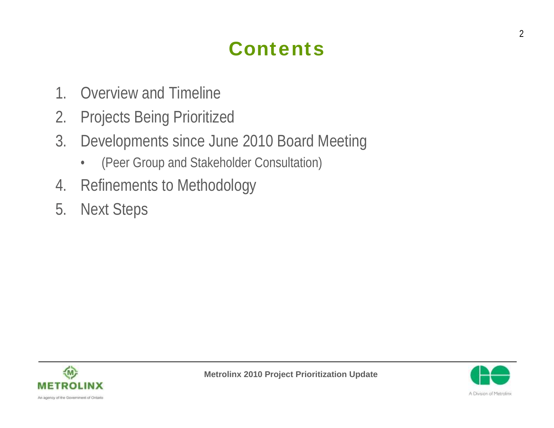#### **Contents**

- 1. Overview and Timeline
- 2. Projects Being Prioritized
- 3. Developments since June 2010 Board Meeting
	- (Peer Group and Stakeholder Consultation)
- 4. Refinements to Methodology
- 5. Next Steps



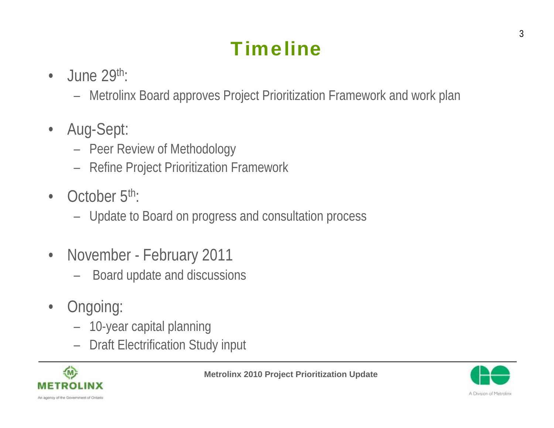## **Timeline**

- $\cdot$  June 29<sup>th</sup>:
	- Metrolinx Board approves Project Prioritization Framework and work plan
- Aug-Sept:
	- Peer Review of Methodology
	- Refine Project Prioritization Framework
- October  $5<sup>th</sup>$ :
	- Update to Board on progress and consultation process
- November February 2011
	- Board update and discussions
- Ongoing:
	- 10-year capital planning
	- Draft Electrification Study input



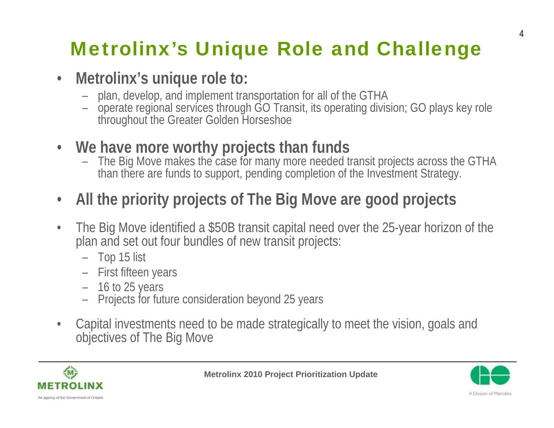## Metrolinx's Unique Role and Challenge

#### • **Metrolinx's unique role to:**

- plan, develop, and implement transportation for all of the GTHA
- operate regional services through GO Transit, its operating division; GO plays key role throughout the Greater Golden Horseshoe
- **We have more worthy projects than funds**
	- The Big Move makes the case for many more needed transit projects across the GTHA than there are funds to support, pending completion of the Investment Strategy.
- **All the priority projects of The Big Move are good projects**
- The Big Move identified a \$50B transit capital need over the 25-year horizon of the plan and set out four bundles of new transit projects:
	- Top 15 list
	- First fifteen years
	- 16 to 25 years
	- Projects for future consideration beyond 25 years
- Capital investments need to be made strategically to meet the vision, goals and objectives of The Big Move



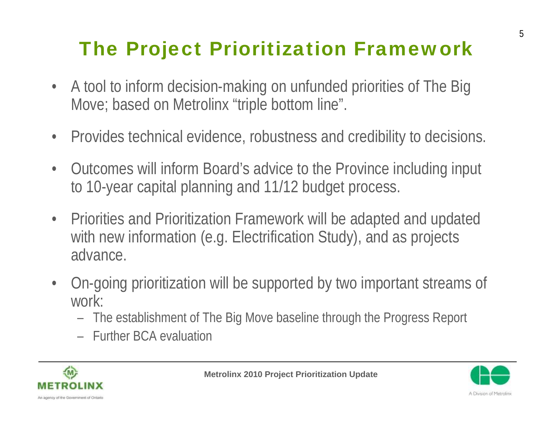# The Project Prioritization Framework

- A tool to inform decision-making on unfunded priorities of The Big Move; based on Metrolinx "triple bottom line".
- Provides technical evidence, robustness and credibility to decisions.
- Outcomes will inform Board's advice to the Province including input to 10-year capital planning and 11/12 budget process.
- Priorities and Prioritization Framework will be adapted and updated with new information (e.g. Electrification Study), and as projects advance.
- On-going prioritization will be supported by two important streams of work:
	- The establishment of The Big Move baseline through the Progress Report
	- Further BCA evaluation



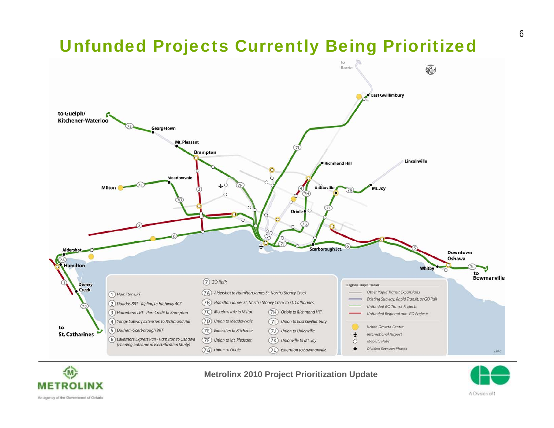#### Unfunded Projects Currently Being Prioritized





#### **Metrolinx 2010 Project Prioritization Update**



An agency of the Government of Ontario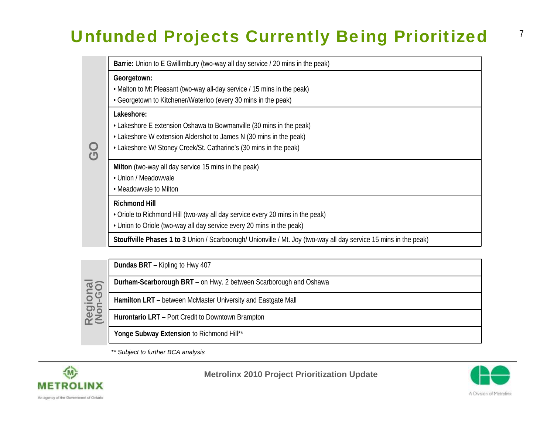#### Unfunded Projects Currently Being Prioritized

| Barrie: Union to E Gwillimbury (two-way all day service / 20 mins in the peak)                                    |
|-------------------------------------------------------------------------------------------------------------------|
| Georgetown:                                                                                                       |
| • Malton to Mt Pleasant (two-way all-day service / 15 mins in the peak)                                           |
| • Georgetown to Kitchener/Waterloo (every 30 mins in the peak)                                                    |
| Lakeshore:                                                                                                        |
| • Lakeshore E extension Oshawa to Bowmanville (30 mins in the peak)                                               |
| • Lakeshore W extension Aldershot to James N (30 mins in the peak)                                                |
| • Lakeshore W/ Stoney Creek/St. Catharine's (30 mins in the peak)                                                 |
| Milton (two-way all day service 15 mins in the peak)                                                              |
| • Union / Meadowvale                                                                                              |
| • Meadowvale to Milton                                                                                            |
| <b>Richmond Hill</b>                                                                                              |
| • Oriole to Richmond Hill (two-way all day service every 20 mins in the peak)                                     |
| • Union to Oriole (two-way all day service every 20 mins in the peak)                                             |
| Stouffville Phases 1 to 3 Union / Scarboorugh/ Unionville / Mt. Joy (two-way all day service 15 mins in the peak) |

**GO**

**Dundas BRT** – Kipling to Hwy 407

- **Durham-Scarborough BRT**  on Hwy. 2 between Scarborough and Oshawa
- **Hamilton LRT**  between McMaster University and Eastgate Mall

**Hurontario LRT** – Port Credit to Downtown Brampton

Yonge Subway Extension to Richmond Hill\*\*

*\*\* Subject to further BCA analysis*





7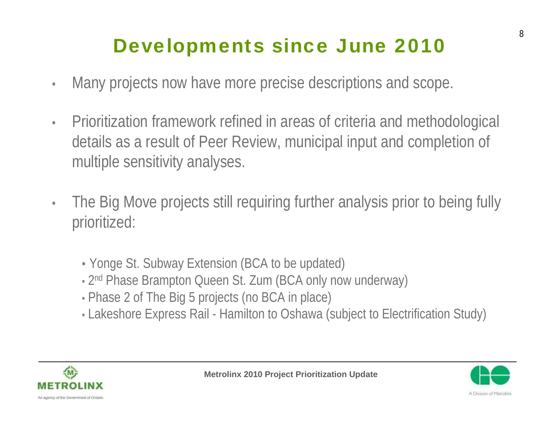### Developments since June 2010

- Many projects now have more precise descriptions and scope.
- Prioritization framework refined in areas of criteria and methodological details as a result of Peer Review, municipal input and completion of multiple sensitivity analyses.
- The Big Move projects still requiring further analysis prior to being fully prioritized:
	- Yonge St. Subway Extension (BCA to be updated)
	- 2<sup>nd</sup> Phase Brampton Queen St. Zum (BCA only now underway)
	- Phase 2 of The Big 5 projects (no BCA in place)
	- Lakeshore Express Rail Hamilton to Oshawa (subject to Electrification Study)



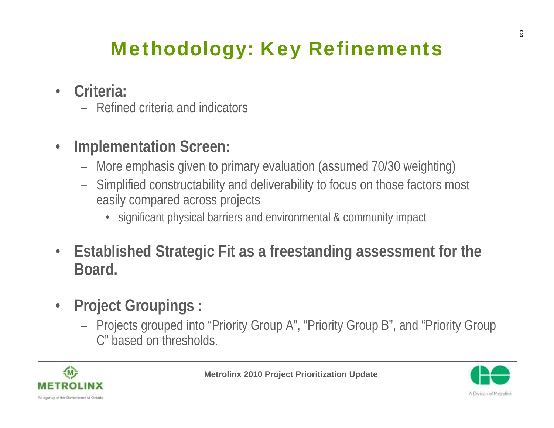## Methodology: Key Refinements

- **Criteria:**
	- Refined criteria and indicators
- **Implementation Screen:**
	- More emphasis given to primary evaluation (assumed 70/30 weighting)
	- Simplified constructability and deliverability to focus on those factors most easily compared across projects
		- significant physical barriers and environmental & community impact
- **Established Strategic Fit as a freestanding assessment for the Board.**
- **Project Groupings :**
	- Projects grouped into "Priority Group A", "Priority Group B", and "Priority Group C" based on thresholds.



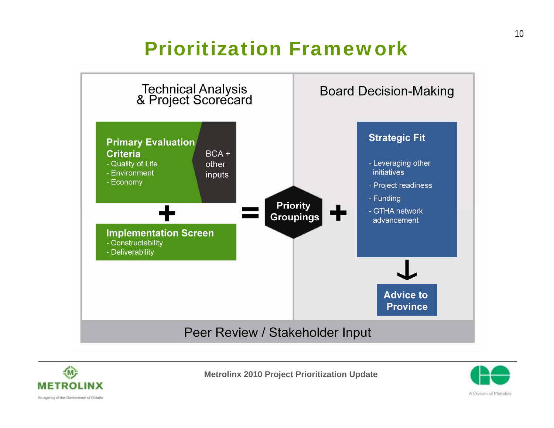#### Prioritization Framework







An agency of the Government of Ontario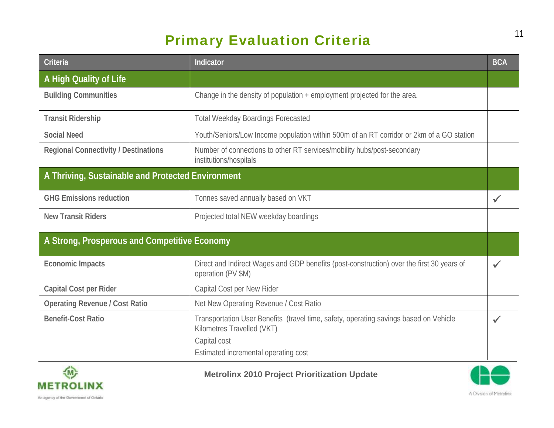#### Primary Evaluation Criteria

| Criteria                                          | Indicator                                                                                                                                                                   | <b>BCA</b> |
|---------------------------------------------------|-----------------------------------------------------------------------------------------------------------------------------------------------------------------------------|------------|
| A High Quality of Life                            |                                                                                                                                                                             |            |
| <b>Building Communities</b>                       | Change in the density of population + employment projected for the area.                                                                                                    |            |
| <b>Transit Ridership</b>                          | <b>Total Weekday Boardings Forecasted</b>                                                                                                                                   |            |
| <b>Social Need</b>                                | Youth/Seniors/Low Income population within 500m of an RT corridor or 2km of a GO station                                                                                    |            |
| <b>Regional Connectivity / Destinations</b>       | Number of connections to other RT services/mobility hubs/post-secondary<br>institutions/hospitals                                                                           |            |
| A Thriving, Sustainable and Protected Environment |                                                                                                                                                                             |            |
| <b>GHG Emissions reduction</b>                    | Tonnes saved annually based on VKT                                                                                                                                          |            |
| <b>New Transit Riders</b>                         | Projected total NEW weekday boardings                                                                                                                                       |            |
| A Strong, Prosperous and Competitive Economy      |                                                                                                                                                                             |            |
| <b>Economic Impacts</b>                           | Direct and Indirect Wages and GDP benefits (post-construction) over the first 30 years of<br>operation (PV \$M)                                                             |            |
| <b>Capital Cost per Rider</b>                     | Capital Cost per New Rider                                                                                                                                                  |            |
| <b>Operating Revenue / Cost Ratio</b>             | Net New Operating Revenue / Cost Ratio                                                                                                                                      |            |
| <b>Benefit-Cost Ratio</b>                         | Transportation User Benefits (travel time, safety, operating savings based on Vehicle<br>Kilometres Travelled (VKT)<br>Capital cost<br>Estimated incremental operating cost |            |





11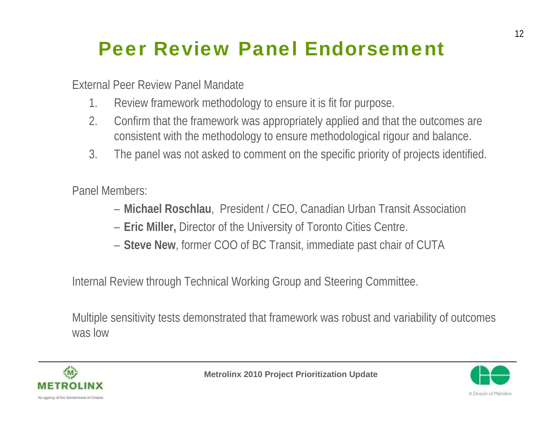#### Peer Review Panel Endorsement

External Peer Review Panel Mandate

- 1. Review framework methodology to ensure it is fit for purpose.
- 2. Confirm that the framework was appropriately applied and that the outcomes are consistent with the methodology to ensure methodological rigour and balance.
- 3. The panel was not asked to comment on the specific priority of projects identified.

Panel Members:

- **Michael Roschlau**, President / CEO, Canadian Urban Transit Association
- **Eric Miller,** Director of the University of Toronto Cities Centre.
- **Steve New**, former COO of BC Transit, immediate past chair of CUTA

Internal Review through Technical Working Group and Steering Committee.

Multiple sensitivity tests demonstrated that framework was robust and variability of outcomes was low



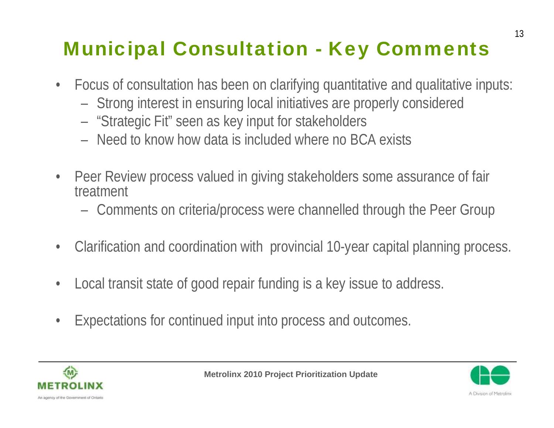# Municipal Consultation - Key Comments

- Focus of consultation has been on clarifying quantitative and qualitative inputs:
	- Strong interest in ensuring local initiatives are properly considered
	- "Strategic Fit" seen as key input for stakeholders
	- Need to know how data is included where no BCA exists
- Peer Review process valued in giving stakeholders some assurance of fair treatment
	- Comments on criteria/process were channelled through the Peer Group
- Clarification and coordination with provincial 10-year capital planning process.
- Local transit state of good repair funding is a key issue to address.
- Expectations for continued input into process and outcomes.



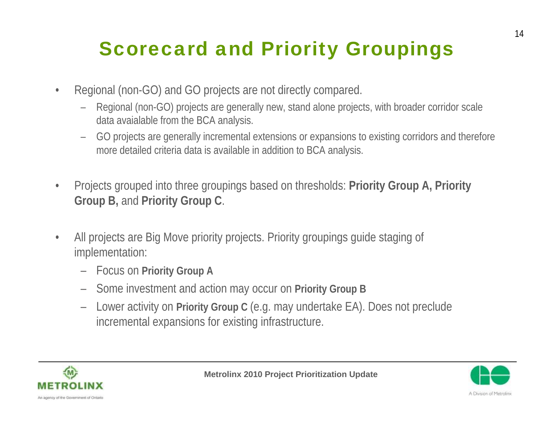## Scorecard and Priority Groupings

- Regional (non-GO) and GO projects are not directly compared.
	- Regional (non-GO) projects are generally new, stand alone projects, with broader corridor scale data avaialable from the BCA analysis.
	- GO projects are generally incremental extensions or expansions to existing corridors and therefore more detailed criteria data is available in addition to BCA analysis.
- Projects grouped into three groupings based on thresholds: **Priority Group A, Priority Group B,** and **Priority Group C**.
- All projects are Big Move priority projects. Priority groupings quide staging of implementation:
	- Focus on **Priority Group A**
	- Some investment and action may occur on **Priority Group B**
	- Lower activity on **Priority Group C** (e.g. may undertake EA). Does not preclude incremental expansions for existing infrastructure.



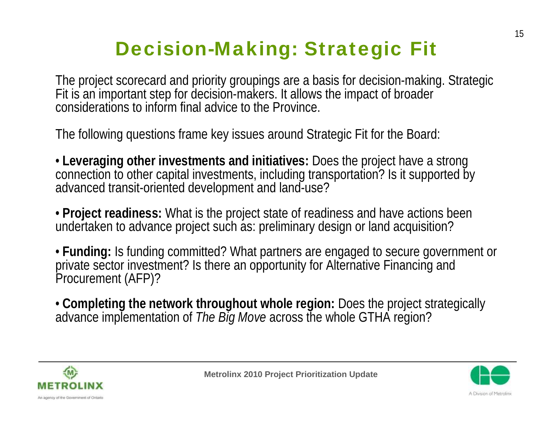#### Decision-Making: Strategic Fit

The project scorecard and priority groupings are a basis for decision-making. Strategic Fit is an important step for decision-makers. It allows the impact of broader considerations to inform final advice to the Province.

The following questions frame key issues around Strategic Fit for the Board:

• **Leveraging other investments and initiatives:** Does the project have a strong connection to other capital investments, including transportation? Is it supported by advanced transit-oriented development and land-use?

• **Project readiness:** What is the project state of readiness and have actions been undertaken to advance project such as: preliminary design or land acquisition?

• **Funding:** Is funding committed? What partners are engaged to secure government or private sector investment? Is there an opportunity for Alternative Financing and<br>Procurement (AFP)?

• **Completing the network throughout whole region:** Does the project strategically advance implementation of *The Big Move* across the whole GTHA region?